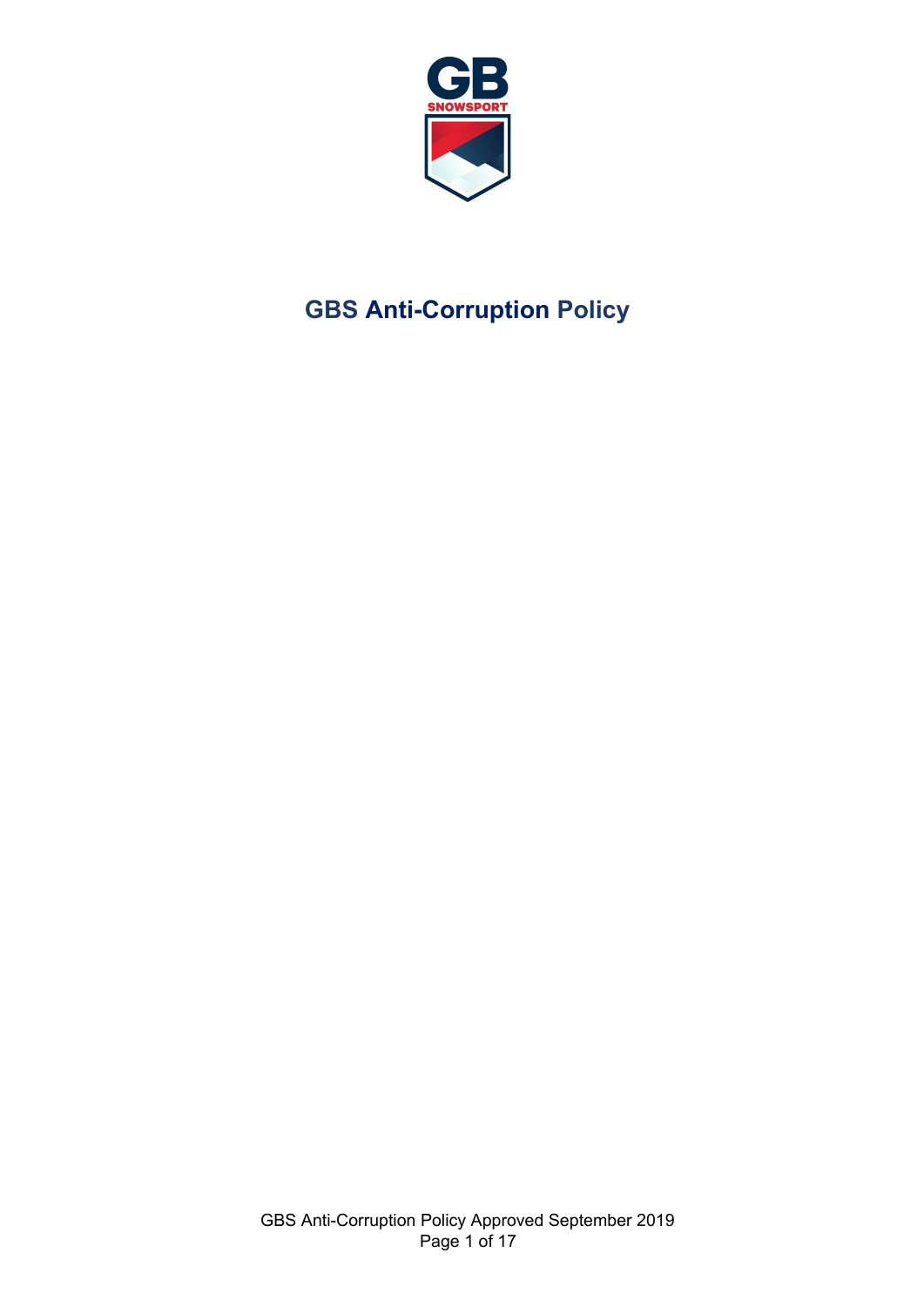

# **GBS Anti-Corruption Policy**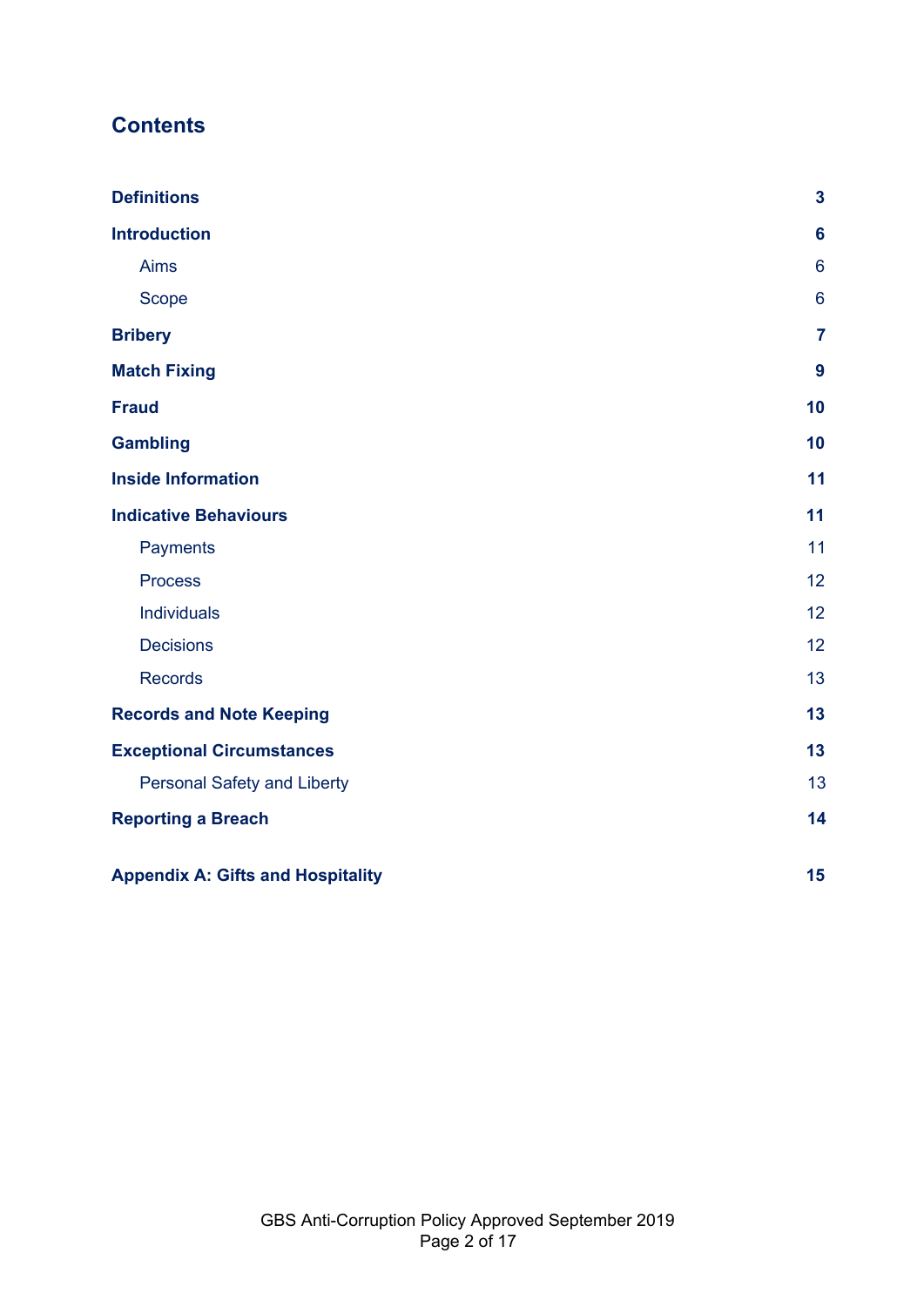# **Contents**

| <b>Definitions</b>                       | $\mathbf{3}$     |
|------------------------------------------|------------------|
| <b>Introduction</b>                      | $6\phantom{a}$   |
| <b>Aims</b>                              | $6\phantom{1}$   |
| Scope                                    | $6\phantom{1}$   |
| <b>Bribery</b>                           | $\overline{7}$   |
| <b>Match Fixing</b>                      | $\boldsymbol{9}$ |
| <b>Fraud</b>                             | 10               |
| <b>Gambling</b>                          | 10               |
| <b>Inside Information</b>                | 11               |
| <b>Indicative Behaviours</b>             | 11               |
| Payments                                 | 11               |
| <b>Process</b>                           | 12               |
| Individuals                              | 12               |
| <b>Decisions</b>                         | 12               |
| <b>Records</b>                           | 13               |
| <b>Records and Note Keeping</b>          | 13               |
| <b>Exceptional Circumstances</b>         | 13               |
| <b>Personal Safety and Liberty</b>       | 13               |
| <b>Reporting a Breach</b>                | 14               |
| <b>Appendix A: Gifts and Hospitality</b> | 15               |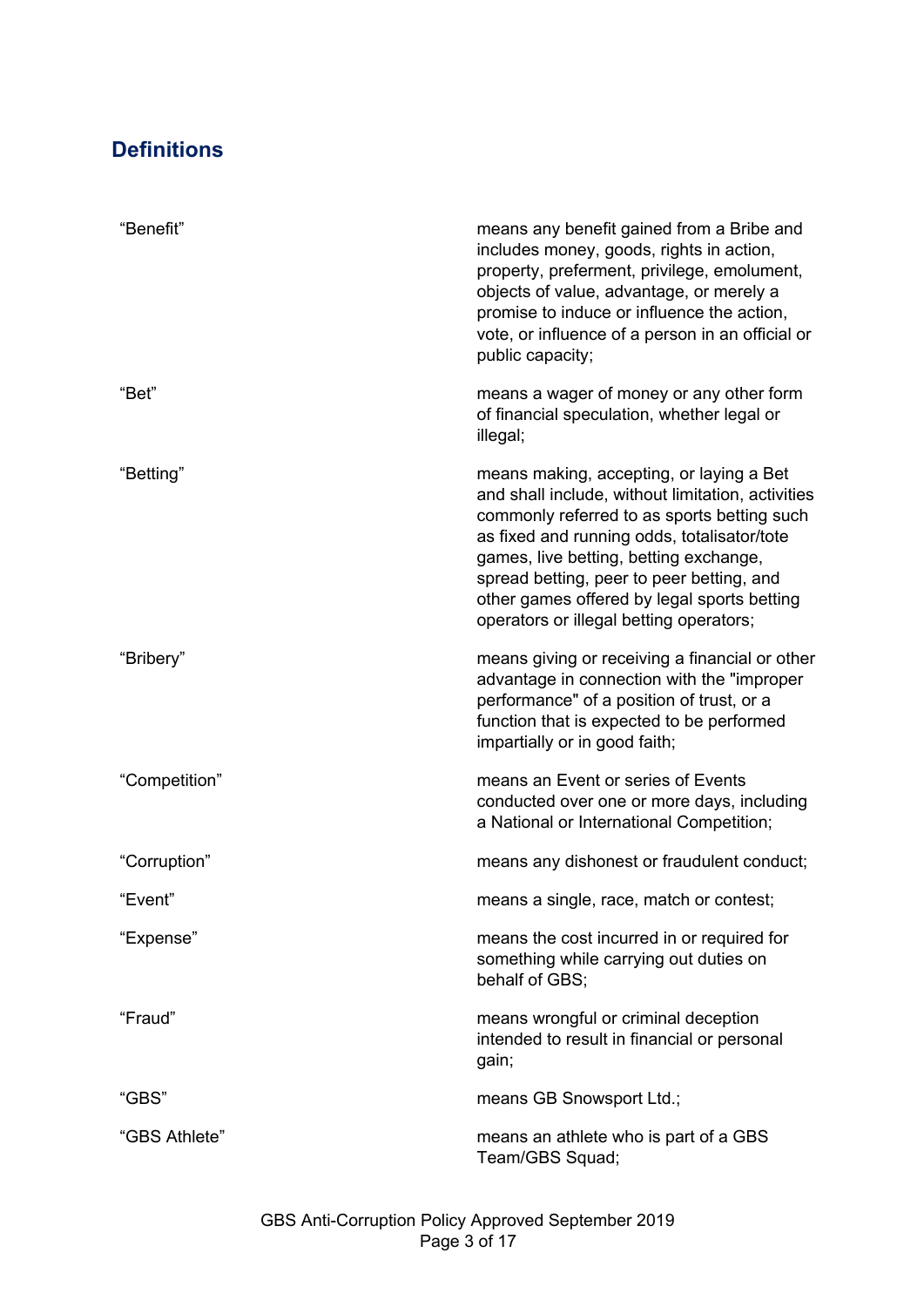# <span id="page-2-0"></span>**Definitions**

| "Benefit"     | means any benefit gained from a Bribe and<br>includes money, goods, rights in action,<br>property, preferment, privilege, emolument,<br>objects of value, advantage, or merely a<br>promise to induce or influence the action,<br>vote, or influence of a person in an official or<br>public capacity;                                                                       |
|---------------|------------------------------------------------------------------------------------------------------------------------------------------------------------------------------------------------------------------------------------------------------------------------------------------------------------------------------------------------------------------------------|
| "Bet"         | means a wager of money or any other form<br>of financial speculation, whether legal or<br>illegal;                                                                                                                                                                                                                                                                           |
| "Betting"     | means making, accepting, or laying a Bet<br>and shall include, without limitation, activities<br>commonly referred to as sports betting such<br>as fixed and running odds, totalisator/tote<br>games, live betting, betting exchange,<br>spread betting, peer to peer betting, and<br>other games offered by legal sports betting<br>operators or illegal betting operators; |
| "Bribery"     | means giving or receiving a financial or other<br>advantage in connection with the "improper<br>performance" of a position of trust, or a<br>function that is expected to be performed<br>impartially or in good faith;                                                                                                                                                      |
| "Competition" | means an Event or series of Events<br>conducted over one or more days, including<br>a National or International Competition;                                                                                                                                                                                                                                                 |
| "Corruption"  | means any dishonest or fraudulent conduct;                                                                                                                                                                                                                                                                                                                                   |
| "Event"       | means a single, race, match or contest;                                                                                                                                                                                                                                                                                                                                      |
| "Expense"     | means the cost incurred in or required for<br>something while carrying out duties on<br>behalf of GBS;                                                                                                                                                                                                                                                                       |
| "Fraud"       | means wrongful or criminal deception<br>intended to result in financial or personal<br>gain;                                                                                                                                                                                                                                                                                 |
| "GBS"         | means GB Snowsport Ltd.;                                                                                                                                                                                                                                                                                                                                                     |
| "GBS Athlete" | means an athlete who is part of a GBS<br>Team/GBS Squad;                                                                                                                                                                                                                                                                                                                     |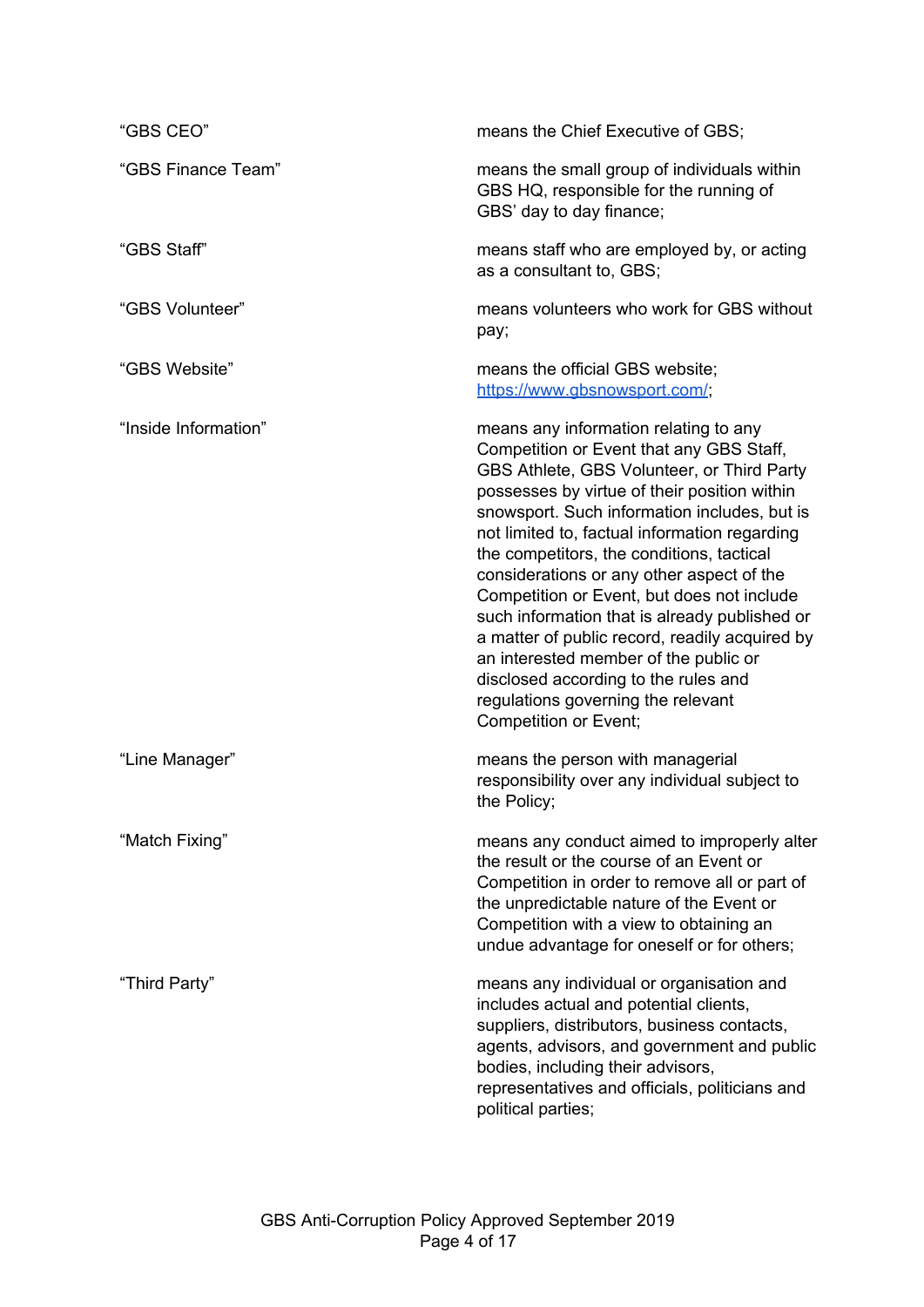| "GBS CEO"            | means the Chief Executive of GBS;                                                                                                                                                                                                                                                                                                                                                                                                                                                                                                                                                                                                                                           |
|----------------------|-----------------------------------------------------------------------------------------------------------------------------------------------------------------------------------------------------------------------------------------------------------------------------------------------------------------------------------------------------------------------------------------------------------------------------------------------------------------------------------------------------------------------------------------------------------------------------------------------------------------------------------------------------------------------------|
| "GBS Finance Team"   | means the small group of individuals within<br>GBS HQ, responsible for the running of<br>GBS' day to day finance;                                                                                                                                                                                                                                                                                                                                                                                                                                                                                                                                                           |
| "GBS Staff"          | means staff who are employed by, or acting<br>as a consultant to, GBS;                                                                                                                                                                                                                                                                                                                                                                                                                                                                                                                                                                                                      |
| "GBS Volunteer"      | means volunteers who work for GBS without<br>pay;                                                                                                                                                                                                                                                                                                                                                                                                                                                                                                                                                                                                                           |
| "GBS Website"        | means the official GBS website;<br>https://www.gbsnowsport.com/;                                                                                                                                                                                                                                                                                                                                                                                                                                                                                                                                                                                                            |
| "Inside Information" | means any information relating to any<br>Competition or Event that any GBS Staff,<br>GBS Athlete, GBS Volunteer, or Third Party<br>possesses by virtue of their position within<br>snowsport. Such information includes, but is<br>not limited to, factual information regarding<br>the competitors, the conditions, tactical<br>considerations or any other aspect of the<br>Competition or Event, but does not include<br>such information that is already published or<br>a matter of public record, readily acquired by<br>an interested member of the public or<br>disclosed according to the rules and<br>regulations governing the relevant<br>Competition or Event; |
| "Line Manager"       | means the person with managerial<br>responsibility over any individual subject to<br>the Policy;                                                                                                                                                                                                                                                                                                                                                                                                                                                                                                                                                                            |
| "Match Fixing"       | means any conduct aimed to improperly alter<br>the result or the course of an Event or<br>Competition in order to remove all or part of<br>the unpredictable nature of the Event or<br>Competition with a view to obtaining an<br>undue advantage for oneself or for others;                                                                                                                                                                                                                                                                                                                                                                                                |
| "Third Party"        | means any individual or organisation and<br>includes actual and potential clients,<br>suppliers, distributors, business contacts,<br>agents, advisors, and government and public<br>bodies, including their advisors,<br>representatives and officials, politicians and<br>political parties;                                                                                                                                                                                                                                                                                                                                                                               |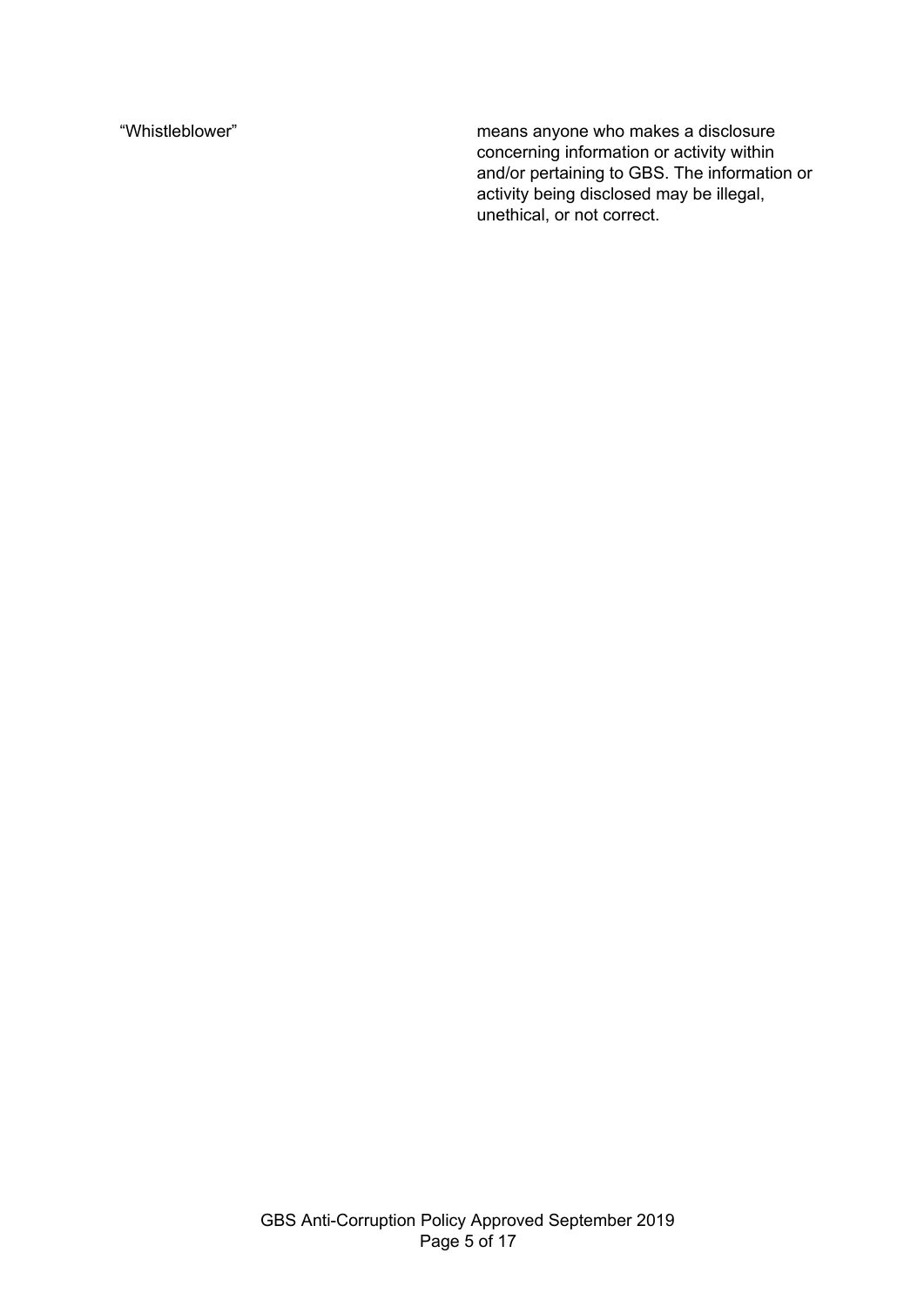"Whistleblower" means anyone who makes a disclosure concerning information or activity within and/or pertaining to GBS. The information or activity being disclosed may be illegal, unethical, or not correct.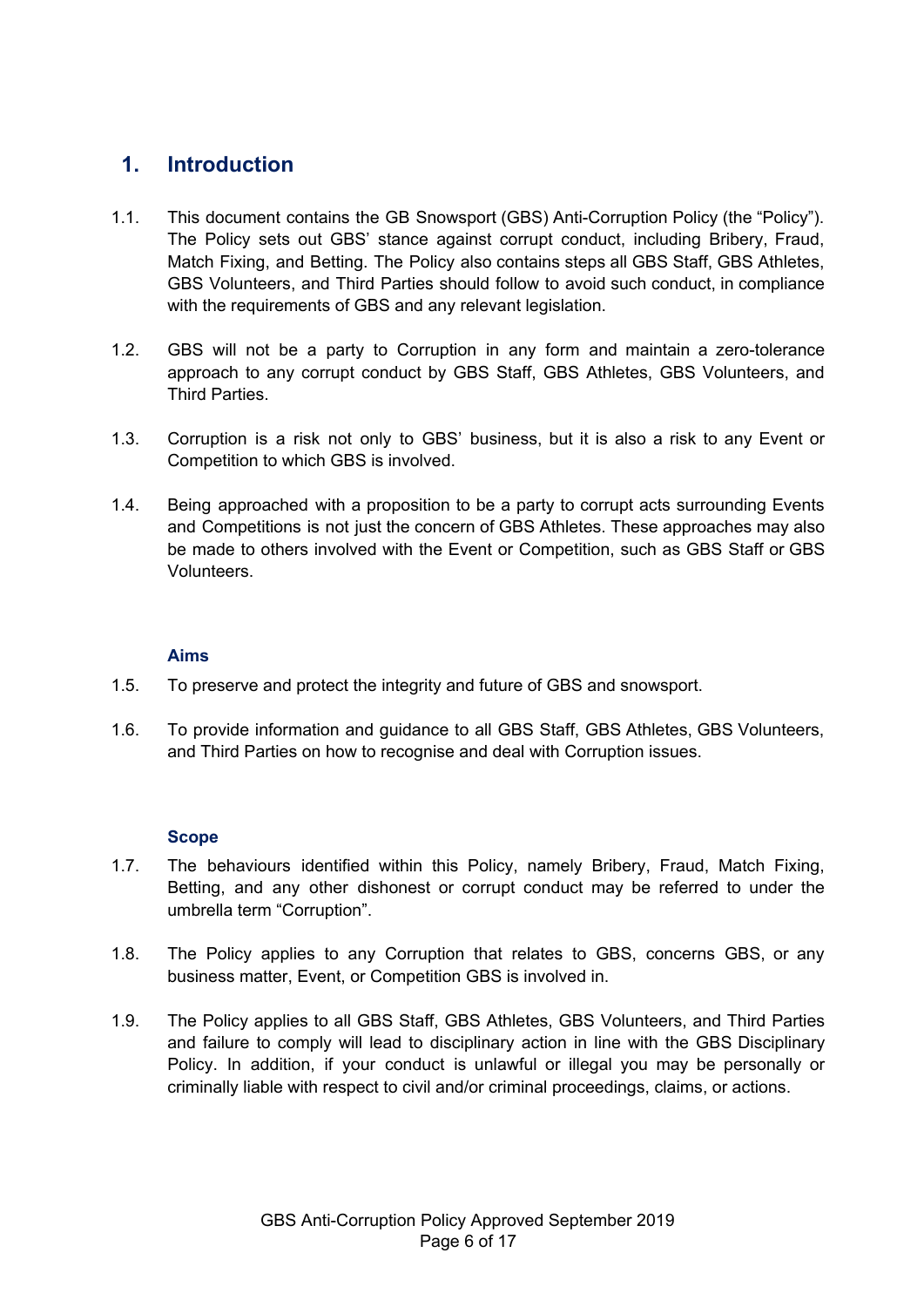### <span id="page-5-0"></span>**1. Introduction**

- 1.1. This document contains the GB Snowsport (GBS) Anti-Corruption Policy (the "Policy"). The Policy sets out GBS' stance against corrupt conduct, including Bribery, Fraud, Match Fixing, and Betting. The Policy also contains steps all GBS Staff, GBS Athletes, GBS Volunteers, and Third Parties should follow to avoid such conduct, in compliance with the requirements of GBS and any relevant legislation.
- 1.2. GBS will not be a party to Corruption in any form and maintain a zero-tolerance approach to any corrupt conduct by GBS Staff, GBS Athletes, GBS Volunteers, and Third Parties.
- 1.3. Corruption is a risk not only to GBS' business, but it is also a risk to any Event or Competition to which GBS is involved.
- 1.4. Being approached with a proposition to be a party to corrupt acts surrounding Events and Competitions is not just the concern of GBS Athletes. These approaches may also be made to others involved with the Event or Competition, such as GBS Staff or GBS Volunteers.

#### **Aims**

- <span id="page-5-1"></span>1.5. To preserve and protect the integrity and future of GBS and snowsport.
- 1.6. To provide information and guidance to all GBS Staff, GBS Athletes, GBS Volunteers, and Third Parties on how to recognise and deal with Corruption issues.

#### **Scope**

- <span id="page-5-2"></span>1.7. The behaviours identified within this Policy, namely Bribery, Fraud, Match Fixing, Betting, and any other dishonest or corrupt conduct may be referred to under the umbrella term "Corruption".
- 1.8. The Policy applies to any Corruption that relates to GBS, concerns GBS, or any business matter, Event, or Competition GBS is involved in.
- 1.9. The Policy applies to all GBS Staff, GBS Athletes, GBS Volunteers, and Third Parties and failure to comply will lead to disciplinary action in line with the GBS Disciplinary Policy. In addition, if your conduct is unlawful or illegal you may be personally or criminally liable with respect to civil and/or criminal proceedings, claims, or actions.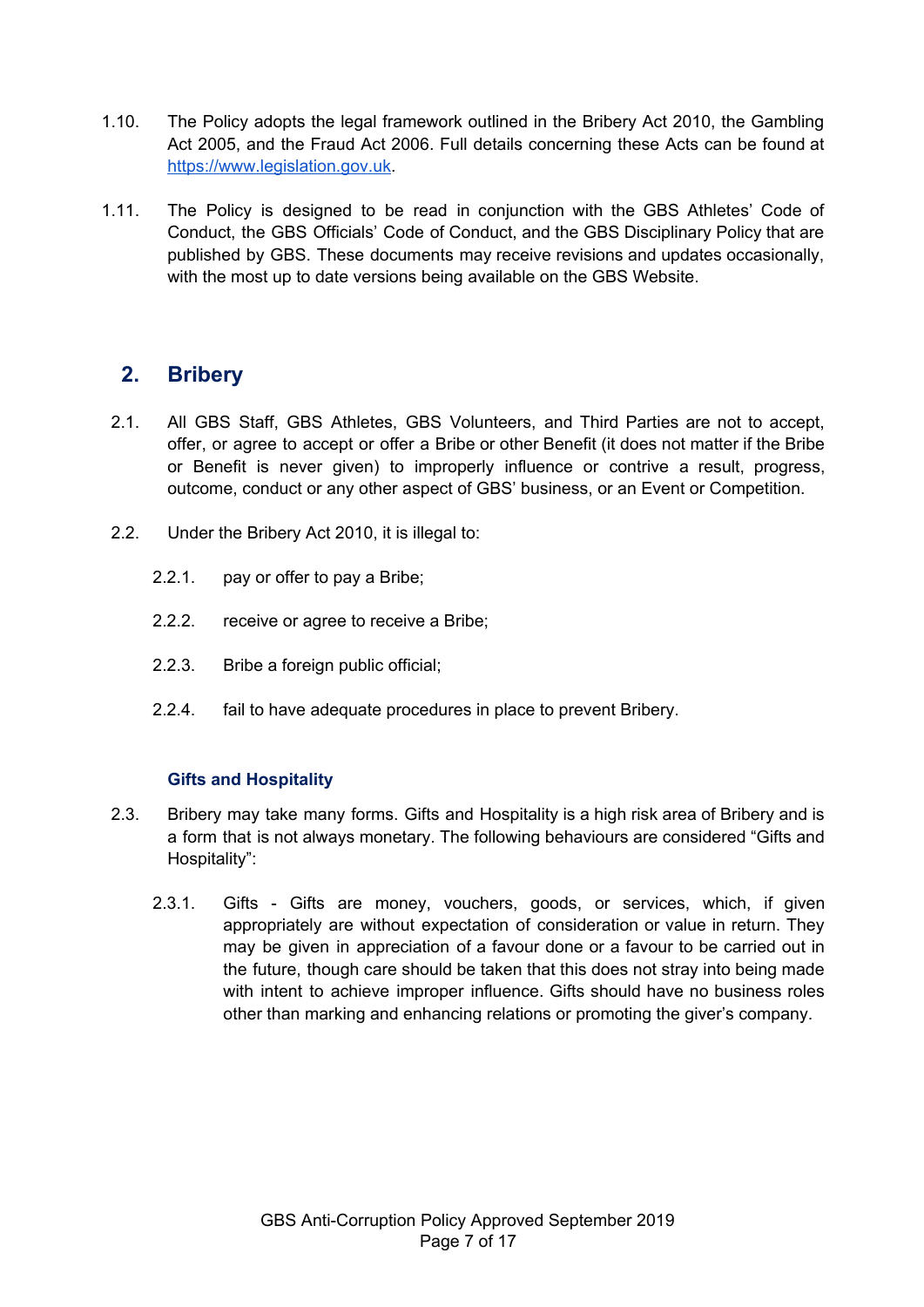- 1.10. The Policy adopts the legal framework outlined in the Bribery Act 2010, the Gambling Act 2005, and the Fraud Act 2006. Full details concerning these Acts can be found at [https://www.legislation.gov.uk](https://www.legislation.gov.uk/).
- 1.11. The Policy is designed to be read in conjunction with the GBS Athletes' Code of Conduct, the GBS Officials' Code of Conduct, and the GBS Disciplinary Policy that are published by GBS. These documents may receive revisions and updates occasionally, with the most up to date versions being available on the GBS Website.

### <span id="page-6-0"></span>**2. Bribery**

- 2.1. All GBS Staff, GBS Athletes, GBS Volunteers, and Third Parties are not to accept, offer, or agree to accept or offer a Bribe or other Benefit (it does not matter if the Bribe or Benefit is never given) to improperly influence or contrive a result, progress, outcome, conduct or any other aspect of GBS' business, or an Event or Competition.
- 2.2. Under the Bribery Act 2010, it is illegal to:
	- 2.2.1. pay or offer to pay a Bribe;
	- 2.2.2. receive or agree to receive a Bribe;
	- 2.2.3. Bribe a foreign public official;
	- 2.2.4. fail to have adequate procedures in place to prevent Bribery.

#### **Gifts and Hospitality**

- 2.3. Bribery may take many forms. Gifts and Hospitality is a high risk area of Bribery and is a form that is not always monetary. The following behaviours are considered "Gifts and Hospitality":
	- 2.3.1. Gifts Gifts are money, vouchers, goods, or services, which, if given appropriately are without expectation of consideration or value in return. They may be given in appreciation of a favour done or a favour to be carried out in the future, though care should be taken that this does not stray into being made with intent to achieve improper influence. Gifts should have no business roles other than marking and enhancing relations or promoting the giver's company.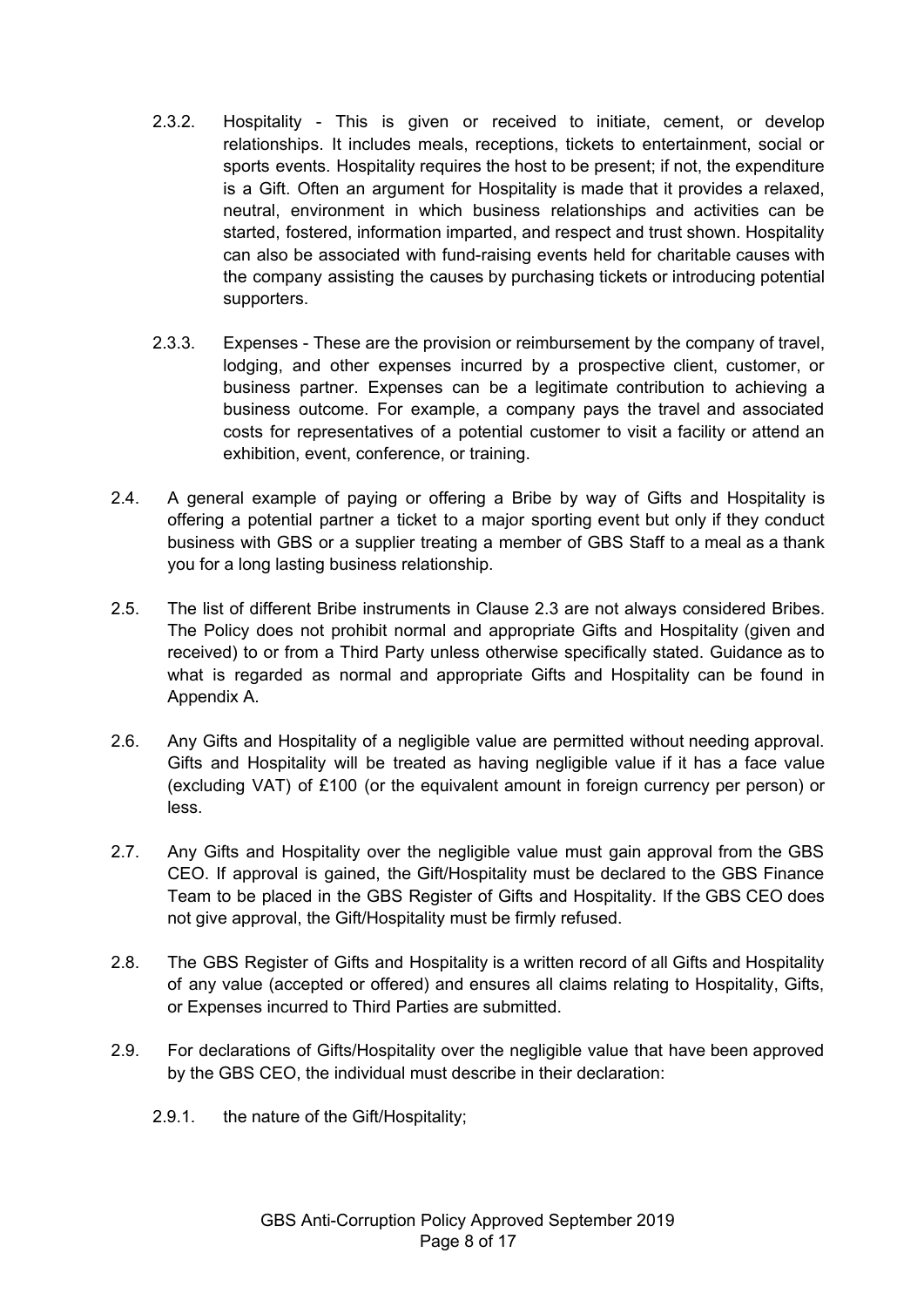- 2.3.2. Hospitality This is given or received to initiate, cement, or develop relationships. It includes meals, receptions, tickets to entertainment, social or sports events. Hospitality requires the host to be present; if not, the expenditure is a Gift. Often an argument for Hospitality is made that it provides a relaxed, neutral, environment in which business relationships and activities can be started, fostered, information imparted, and respect and trust shown. Hospitality can also be associated with fund-raising events held for charitable causes with the company assisting the causes by purchasing tickets or introducing potential supporters.
- 2.3.3. Expenses These are the provision or reimbursement by the company of travel, lodging, and other expenses incurred by a prospective client, customer, or business partner. Expenses can be a legitimate contribution to achieving a business outcome. For example, a company pays the travel and associated costs for representatives of a potential customer to visit a facility or attend an exhibition, event, conference, or training.
- 2.4. A general example of paying or offering a Bribe by way of Gifts and Hospitality is offering a potential partner a ticket to a major sporting event but only if they conduct business with GBS or a supplier treating a member of GBS Staff to a meal as a thank you for a long lasting business relationship.
- 2.5. The list of different Bribe instruments in Clause 2.3 are not always considered Bribes. The Policy does not prohibit normal and appropriate Gifts and Hospitality (given and received) to or from a Third Party unless otherwise specifically stated. Guidance as to what is regarded as normal and appropriate Gifts and Hospitality can be found in Appendix A.
- 2.6. Any Gifts and Hospitality of a negligible value are permitted without needing approval. Gifts and Hospitality will be treated as having negligible value if it has a face value (excluding VAT) of £100 (or the equivalent amount in foreign currency per person) or less.
- 2.7. Any Gifts and Hospitality over the negligible value must gain approval from the GBS CEO. If approval is gained, the Gift/Hospitality must be declared to the GBS Finance Team to be placed in the GBS Register of Gifts and Hospitality. If the GBS CEO does not give approval, the Gift/Hospitality must be firmly refused.
- 2.8. The GBS Register of Gifts and Hospitality is a written record of all Gifts and Hospitality of any value (accepted or offered) and ensures all claims relating to Hospitality, Gifts, or Expenses incurred to Third Parties are submitted.
- 2.9. For declarations of Gifts/Hospitality over the negligible value that have been approved by the GBS CEO, the individual must describe in their declaration:
	- 2.9.1. the nature of the Gift/Hospitality;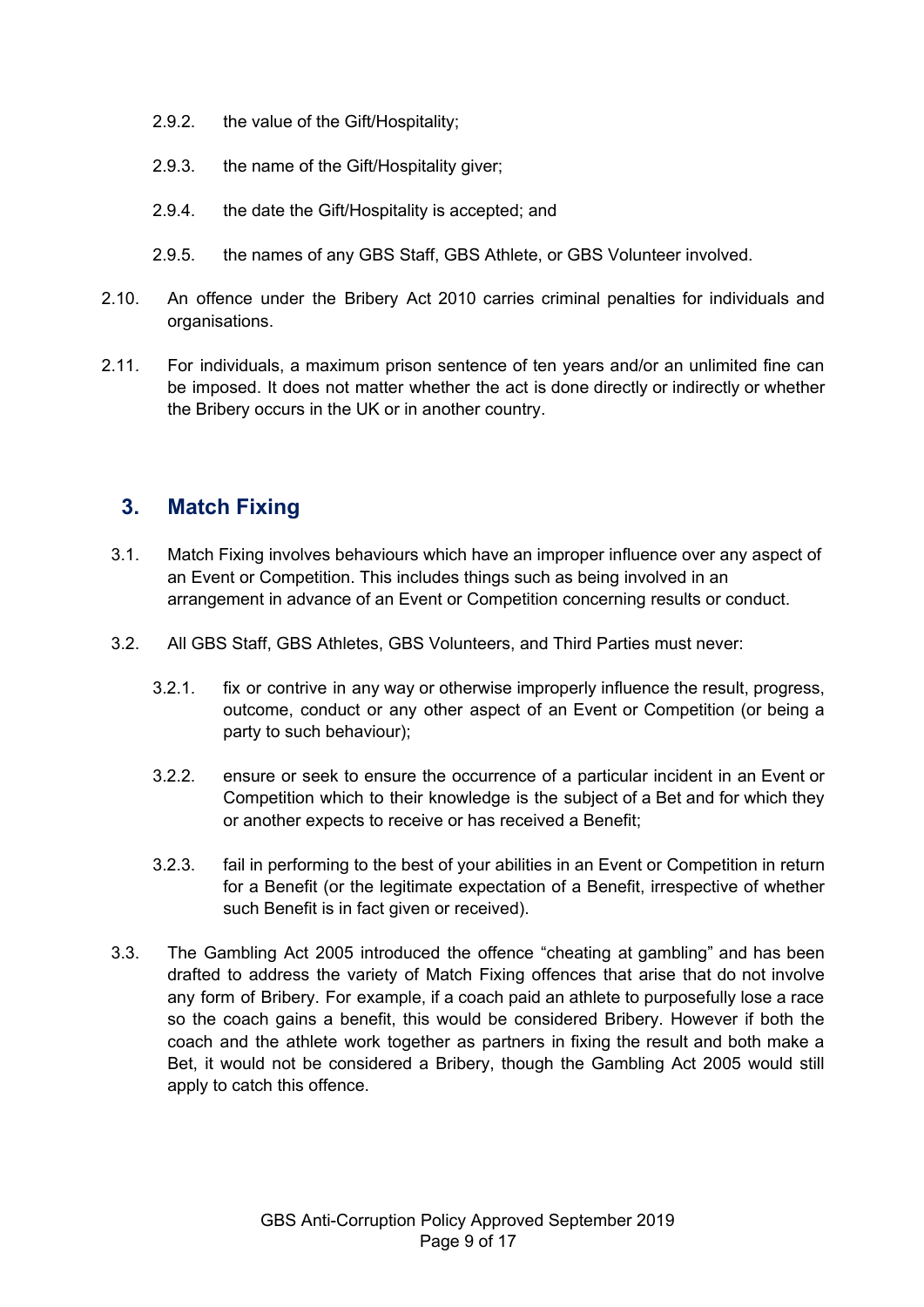- 2.9.2. the value of the Gift/Hospitality;
- 2.9.3. the name of the Gift/Hospitality giver;
- 2.9.4. the date the Gift/Hospitality is accepted; and
- 2.9.5. the names of any GBS Staff, GBS Athlete, or GBS Volunteer involved.
- 2.10. An offence under the Bribery Act 2010 carries criminal penalties for individuals and organisations.
- 2.11. For individuals, a maximum prison sentence of ten years and/or an unlimited fine can be imposed. It does not matter whether the act is done directly or indirectly or whether the Bribery occurs in the UK or in another country.

### <span id="page-8-0"></span>**3. Match Fixing**

- 3.1. Match Fixing involves behaviours which have an improper influence over any aspect of an Event or Competition. This includes things such as being involved in an arrangement in advance of an Event or Competition concerning results or conduct.
- 3.2. All GBS Staff, GBS Athletes, GBS Volunteers, and Third Parties must never:
	- 3.2.1. fix or contrive in any way or otherwise improperly influence the result, progress, outcome, conduct or any other aspect of an Event or Competition (or being a party to such behaviour);
	- 3.2.2. ensure or seek to ensure the occurrence of a particular incident in an Event or Competition which to their knowledge is the subject of a Bet and for which they or another expects to receive or has received a Benefit;
	- 3.2.3. fail in performing to the best of your abilities in an Event or Competition in return for a Benefit (or the legitimate expectation of a Benefit, irrespective of whether such Benefit is in fact given or received).
- 3.3. The Gambling Act 2005 introduced the offence "cheating at gambling" and has been drafted to address the variety of Match Fixing offences that arise that do not involve any form of Bribery. For example, if a coach paid an athlete to purposefully lose a race so the coach gains a benefit, this would be considered Bribery. However if both the coach and the athlete work together as partners in fixing the result and both make a Bet, it would not be considered a Bribery, though the Gambling Act 2005 would still apply to catch this offence.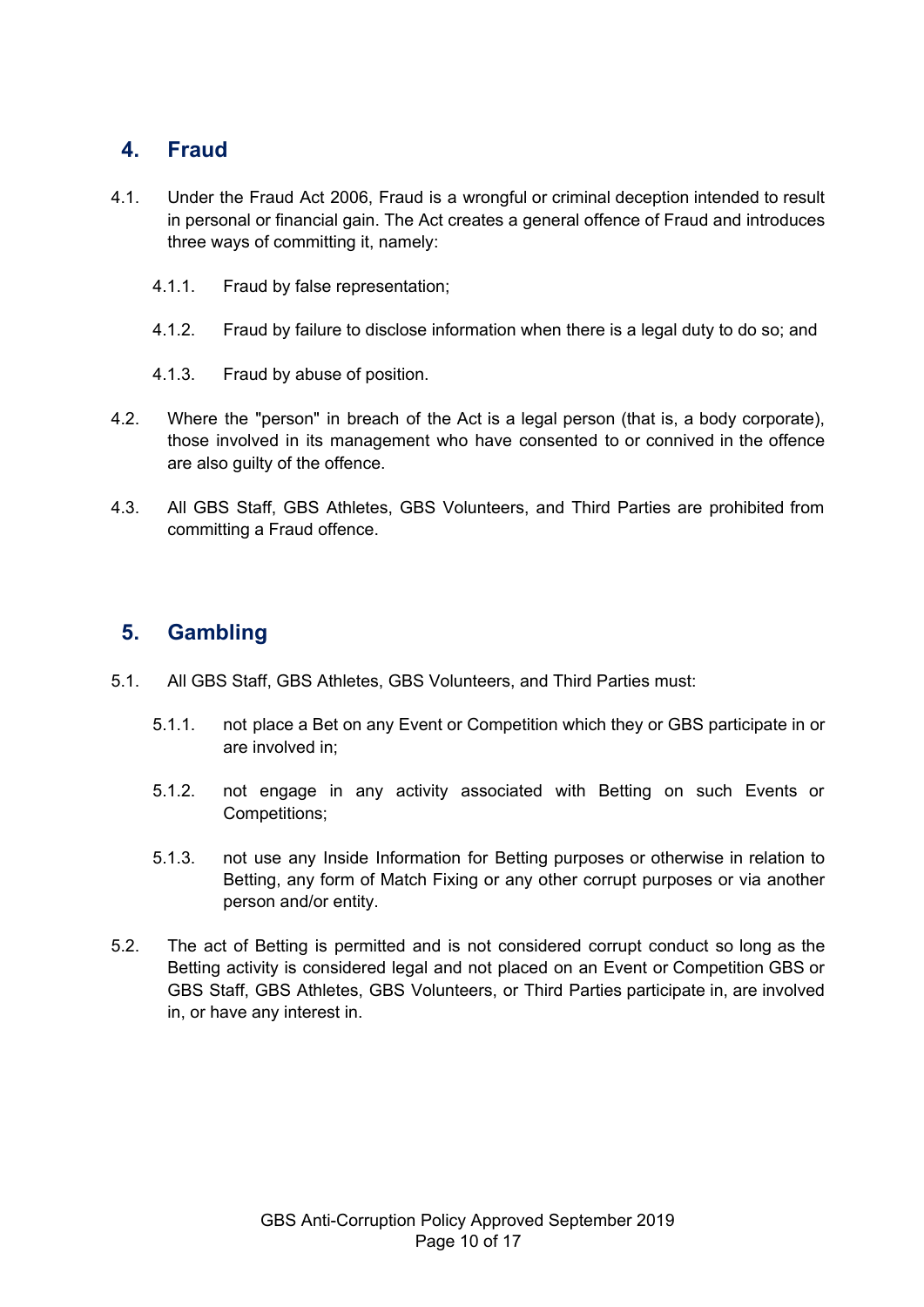### <span id="page-9-0"></span>**4. Fraud**

- 4.1. Under the Fraud Act 2006, Fraud is a wrongful or criminal deception intended to result in personal or financial gain. The Act creates a general offence of Fraud and introduces three ways of committing it, namely:
	- 4.1.1. Fraud by false representation;
	- 4.1.2. Fraud by failure to disclose information when there is a legal duty to do so; and
	- 4.1.3. Fraud by abuse of position.
- 4.2. Where the "person" in breach of the Act is a legal person (that is, a body corporate), those involved in its management who have consented to or connived in the offence are also guilty of the offence.
- 4.3. All GBS Staff, GBS Athletes, GBS Volunteers, and Third Parties are prohibited from committing a Fraud offence.

### <span id="page-9-1"></span>**5. Gambling**

- 5.1. All GBS Staff, GBS Athletes, GBS Volunteers, and Third Parties must:
	- 5.1.1. not place a Bet on any Event or Competition which they or GBS participate in or are involved in;
	- 5.1.2. not engage in any activity associated with Betting on such Events or Competitions;
	- 5.1.3. not use any Inside Information for Betting purposes or otherwise in relation to Betting, any form of Match Fixing or any other corrupt purposes or via another person and/or entity.
- 5.2. The act of Betting is permitted and is not considered corrupt conduct so long as the Betting activity is considered legal and not placed on an Event or Competition GBS or GBS Staff, GBS Athletes, GBS Volunteers, or Third Parties participate in, are involved in, or have any interest in.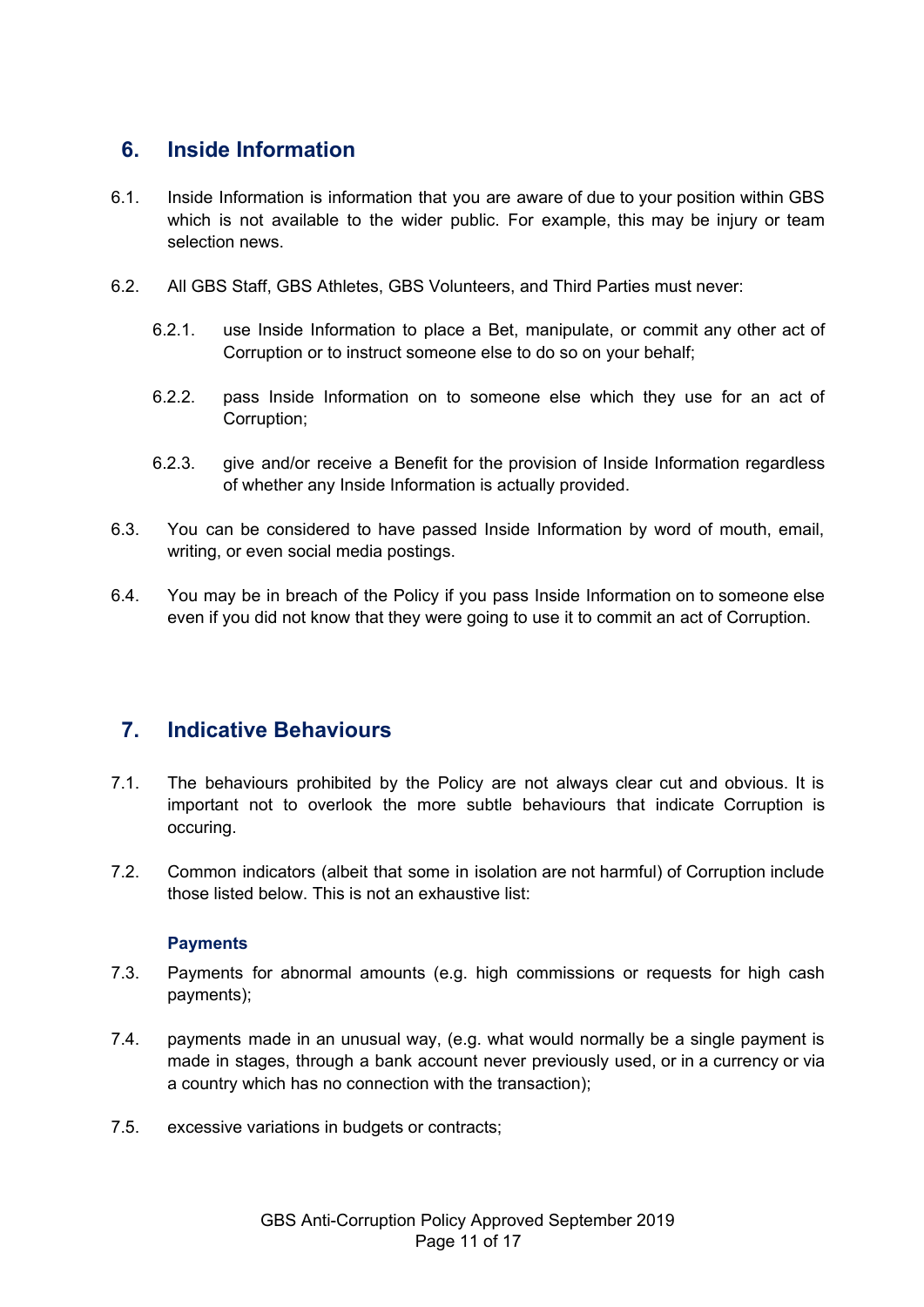### <span id="page-10-0"></span>**6. Inside Information**

- 6.1. Inside Information is information that you are aware of due to your position within GBS which is not available to the wider public. For example, this may be injury or team selection news.
- 6.2. All GBS Staff, GBS Athletes, GBS Volunteers, and Third Parties must never:
	- 6.2.1. use Inside Information to place a Bet, manipulate, or commit any other act of Corruption or to instruct someone else to do so on your behalf;
	- 6.2.2. pass Inside Information on to someone else which they use for an act of Corruption;
	- 6.2.3. give and/or receive a Benefit for the provision of Inside Information regardless of whether any Inside Information is actually provided.
- 6.3. You can be considered to have passed Inside Information by word of mouth, email, writing, or even social media postings.
- 6.4. You may be in breach of the Policy if you pass Inside Information on to someone else even if you did not know that they were going to use it to commit an act of Corruption.

### <span id="page-10-1"></span>**7. Indicative Behaviours**

- 7.1. The behaviours prohibited by the Policy are not always clear cut and obvious. It is important not to overlook the more subtle behaviours that indicate Corruption is occuring.
- 7.2. Common indicators (albeit that some in isolation are not harmful) of Corruption include those listed below. This is not an exhaustive list:

#### **Payments**

- <span id="page-10-2"></span>7.3. Payments for abnormal amounts (e.g. high commissions or requests for high cash payments);
- 7.4. payments made in an unusual way, (e.g. what would normally be a single payment is made in stages, through a bank account never previously used, or in a currency or via a country which has no connection with the transaction);
- 7.5. excessive variations in budgets or contracts;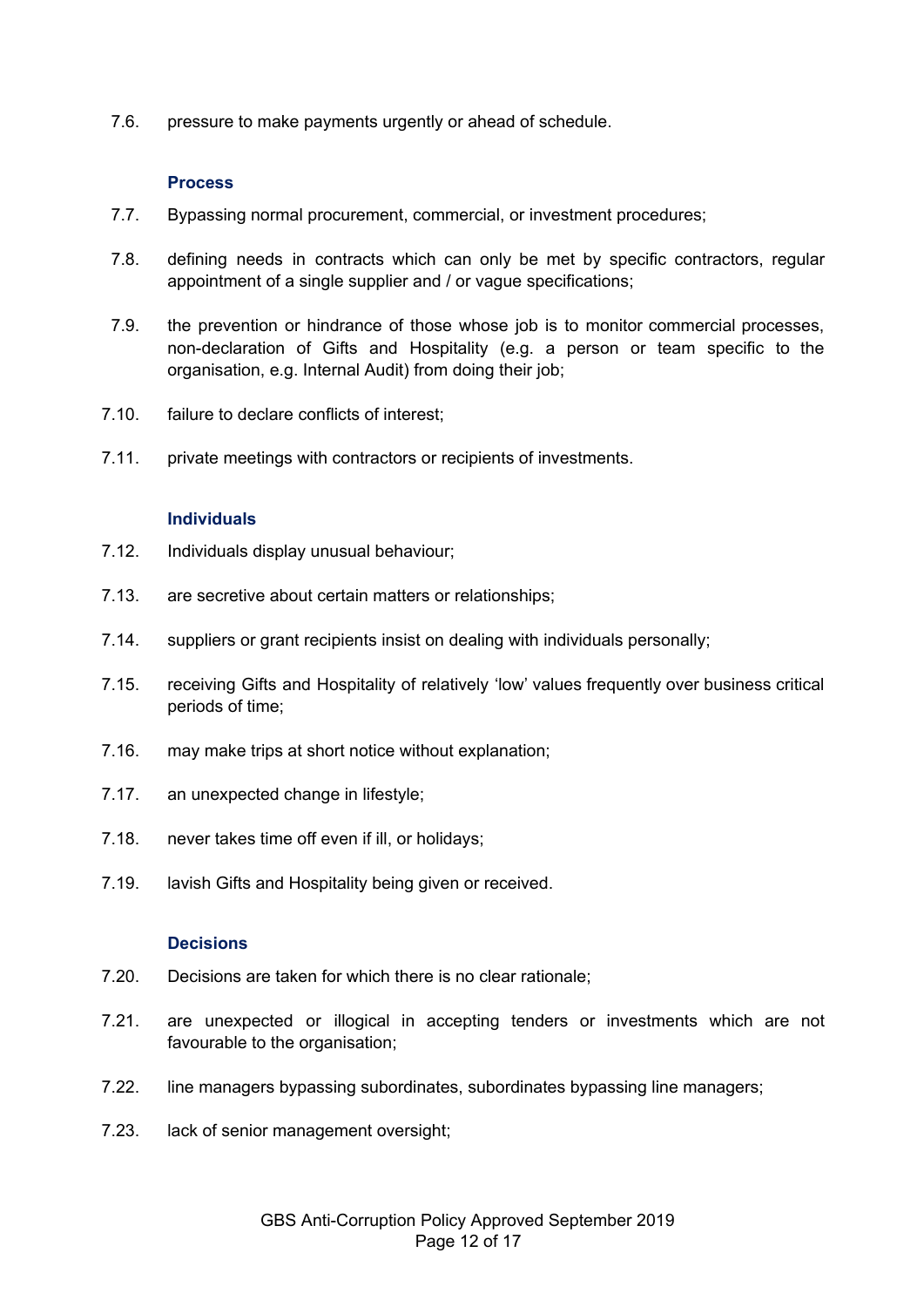<span id="page-11-0"></span>7.6. pressure to make payments urgently or ahead of schedule.

#### **Process**

- 7.7. Bypassing normal procurement, commercial, or investment procedures;
- 7.8. defining needs in contracts which can only be met by specific contractors, regular appointment of a single supplier and / or vague specifications;
- 7.9. the prevention or hindrance of those whose job is to monitor commercial processes, non-declaration of Gifts and Hospitality (e.g. a person or team specific to the organisation, e.g. Internal Audit) from doing their job;
- 7.10. failure to declare conflicts of interest;
- <span id="page-11-1"></span>7.11. private meetings with contractors or recipients of investments.

#### **Individuals**

- 7.12. Individuals display unusual behaviour;
- 7.13. are secretive about certain matters or relationships;
- 7.14. suppliers or grant recipients insist on dealing with individuals personally;
- 7.15. receiving Gifts and Hospitality of relatively 'low' values frequently over business critical periods of time;
- 7.16. may make trips at short notice without explanation;
- 7.17. an unexpected change in lifestyle;
- 7.18. never takes time off even if ill, or holidays;
- <span id="page-11-2"></span>7.19. lavish Gifts and Hospitality being given or received.

#### **Decisions**

- 7.20. Decisions are taken for which there is no clear rationale;
- 7.21. are unexpected or illogical in accepting tenders or investments which are not favourable to the organisation;
- 7.22. line managers bypassing subordinates, subordinates bypassing line managers;
- 7.23. lack of senior management oversight;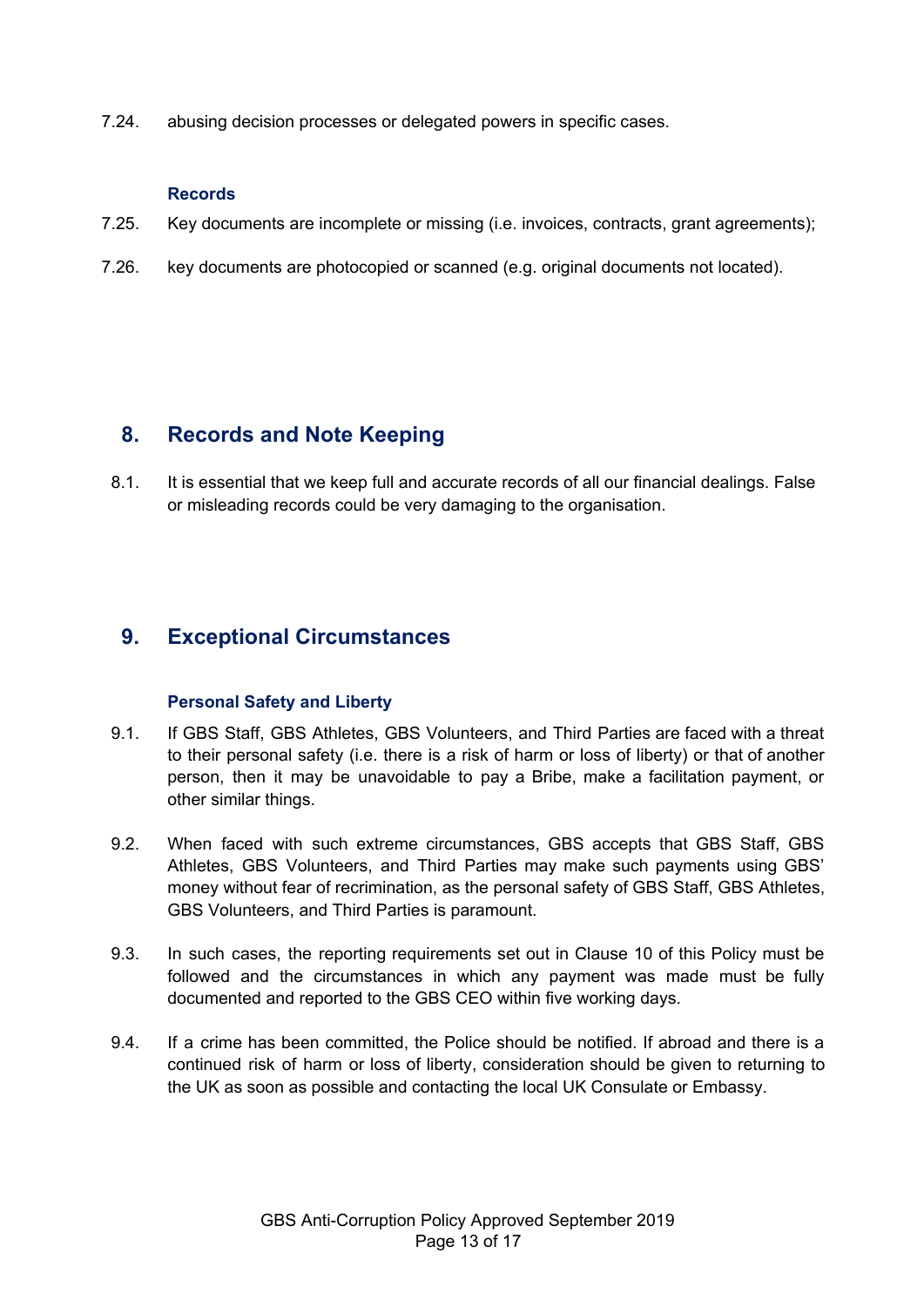7.24. abusing decision processes or delegated powers in specific cases.

#### **Records**

- <span id="page-12-0"></span>7.25. Key documents are incomplete or missing (i.e. invoices, contracts, grant agreements);
- 7.26. key documents are photocopied or scanned (e.g. original documents not located).

### <span id="page-12-1"></span>**8. Records and Note Keeping**

8.1. It is essential that we keep full and accurate records of all our financial dealings. False or misleading records could be very damaging to the organisation.

### <span id="page-12-3"></span><span id="page-12-2"></span>**9. Exceptional Circumstances**

#### **Personal Safety and Liberty**

- 9.1. If GBS Staff, GBS Athletes, GBS Volunteers, and Third Parties are faced with a threat to their personal safety (i.e. there is a risk of harm or loss of liberty) or that of another person, then it may be unavoidable to pay a Bribe, make a facilitation payment, or other similar things.
- 9.2. When faced with such extreme circumstances, GBS accepts that GBS Staff, GBS Athletes, GBS Volunteers, and Third Parties may make such payments using GBS' money without fear of recrimination, as the personal safety of GBS Staff, GBS Athletes, GBS Volunteers, and Third Parties is paramount.
- 9.3. In such cases, the reporting requirements set out in Clause 10 of this Policy must be followed and the circumstances in which any payment was made must be fully documented and reported to the GBS CEO within five working days.
- 9.4. If a crime has been committed, the Police should be notified. If abroad and there is a continued risk of harm or loss of liberty, consideration should be given to returning to the UK as soon as possible and contacting the local UK Consulate or Embassy.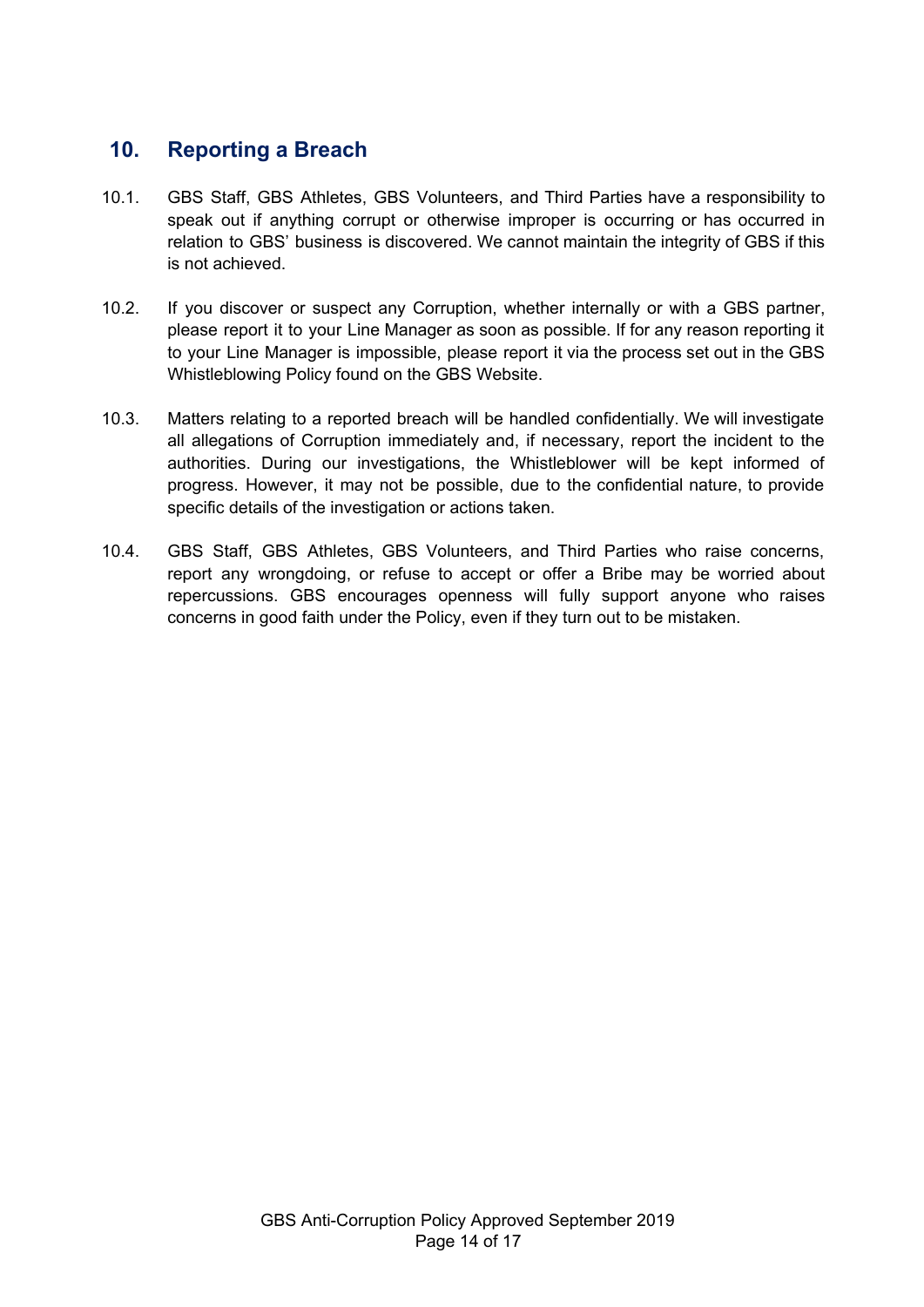### <span id="page-13-0"></span>**10. Reporting a Breach**

- 10.1. GBS Staff, GBS Athletes, GBS Volunteers, and Third Parties have a responsibility to speak out if anything corrupt or otherwise improper is occurring or has occurred in relation to GBS' business is discovered. We cannot maintain the integrity of GBS if this is not achieved.
- 10.2. If you discover or suspect any Corruption, whether internally or with a GBS partner, please report it to your Line Manager as soon as possible. If for any reason reporting it to your Line Manager is impossible, please report it via the process set out in the GBS Whistleblowing Policy found on the GBS Website.
- 10.3. Matters relating to a reported breach will be handled confidentially. We will investigate all allegations of Corruption immediately and, if necessary, report the incident to the authorities. During our investigations, the Whistleblower will be kept informed of progress. However, it may not be possible, due to the confidential nature, to provide specific details of the investigation or actions taken.
- 10.4. GBS Staff, GBS Athletes, GBS Volunteers, and Third Parties who raise concerns, report any wrongdoing, or refuse to accept or offer a Bribe may be worried about repercussions. GBS encourages openness will fully support anyone who raises concerns in good faith under the Policy, even if they turn out to be mistaken.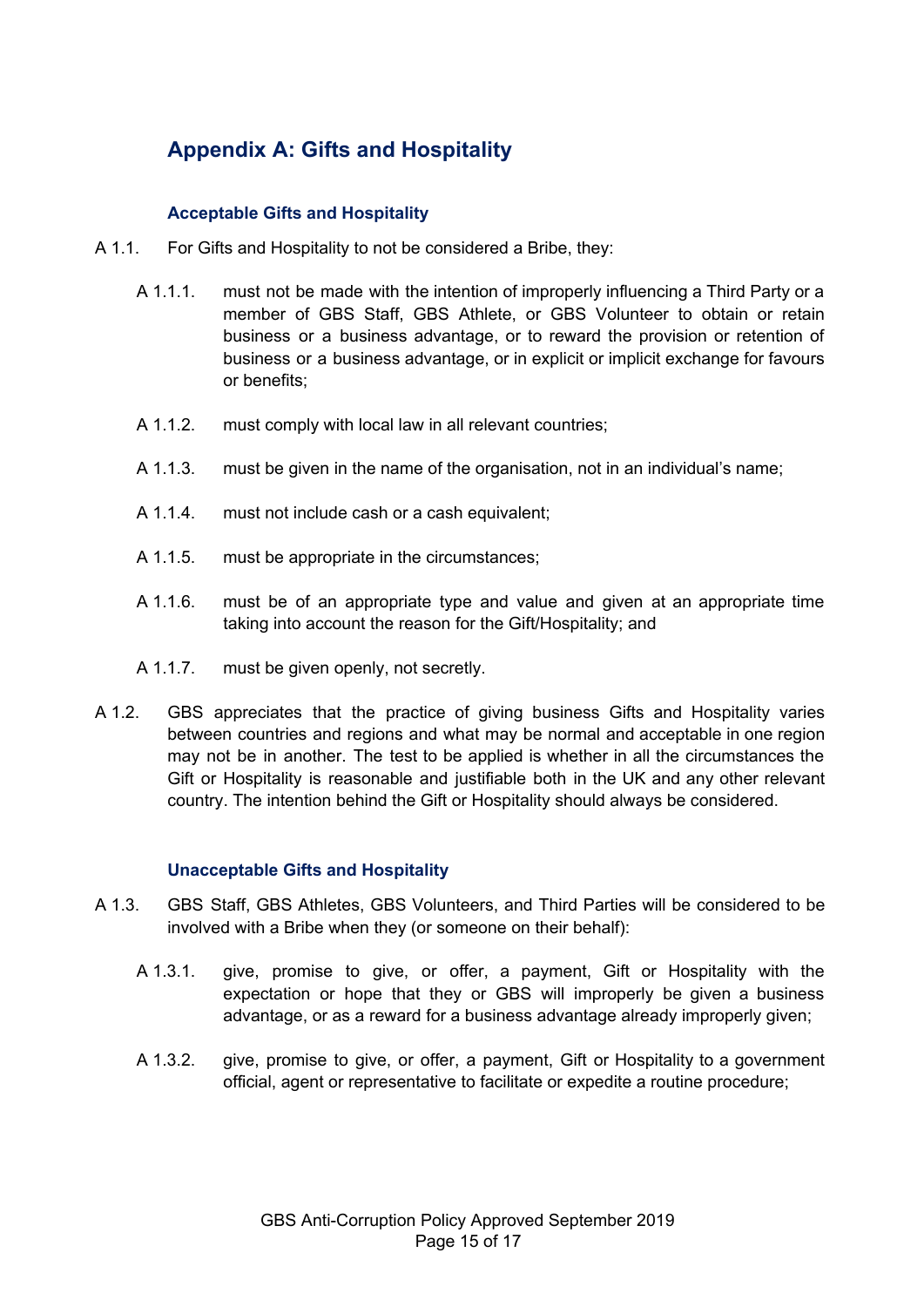# <span id="page-14-0"></span>**Appendix A: Gifts and Hospitality**

#### **Acceptable Gifts and Hospitality**

- A 1.1. For Gifts and Hospitality to not be considered a Bribe, they:
	- A 1.1.1. must not be made with the intention of improperly influencing a Third Party or a member of GBS Staff, GBS Athlete, or GBS Volunteer to obtain or retain business or a business advantage, or to reward the provision or retention of business or a business advantage, or in explicit or implicit exchange for favours or benefits;
	- A 1.1.2. must comply with local law in all relevant countries;
	- A 1.1.3. must be given in the name of the organisation, not in an individual's name;
	- A 1.1.4. must not include cash or a cash equivalent;
	- A 1.1.5. must be appropriate in the circumstances;
	- A 1.1.6. must be of an appropriate type and value and given at an appropriate time taking into account the reason for the Gift/Hospitality; and
	- A 1.1.7. must be given openly, not secretly.
- A 1.2. GBS appreciates that the practice of giving business Gifts and Hospitality varies between countries and regions and what may be normal and acceptable in one region may not be in another. The test to be applied is whether in all the circumstances the Gift or Hospitality is reasonable and justifiable both in the UK and any other relevant country. The intention behind the Gift or Hospitality should always be considered.

#### **Unacceptable Gifts and Hospitality**

- A 1.3. GBS Staff, GBS Athletes, GBS Volunteers, and Third Parties will be considered to be involved with a Bribe when they (or someone on their behalf):
	- A 1.3.1. give, promise to give, or offer, a payment, Gift or Hospitality with the expectation or hope that they or GBS will improperly be given a business advantage, or as a reward for a business advantage already improperly given;
	- A 1.3.2. give, promise to give, or offer, a payment, Gift or Hospitality to a government official, agent or representative to facilitate or expedite a routine procedure;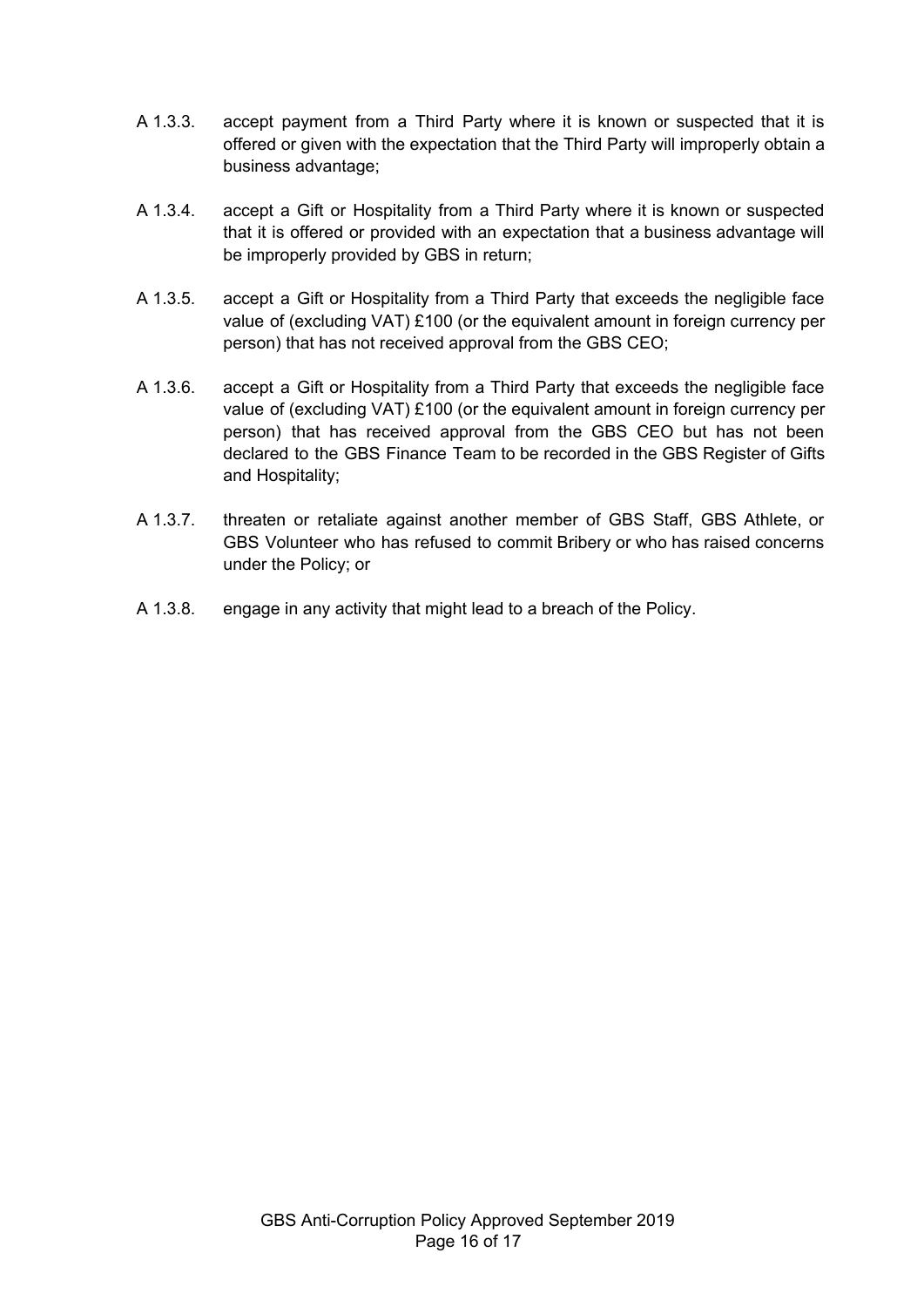- A 1.3.3. accept payment from a Third Party where it is known or suspected that it is offered or given with the expectation that the Third Party will improperly obtain a business advantage;
- A 1.3.4. accept a Gift or Hospitality from a Third Party where it is known or suspected that it is offered or provided with an expectation that a business advantage will be improperly provided by GBS in return;
- A 1.3.5. accept a Gift or Hospitality from a Third Party that exceeds the negligible face value of (excluding VAT) £100 (or the equivalent amount in foreign currency per person) that has not received approval from the GBS CEO;
- A 1.3.6. accept a Gift or Hospitality from a Third Party that exceeds the negligible face value of (excluding VAT) £100 (or the equivalent amount in foreign currency per person) that has received approval from the GBS CEO but has not been declared to the GBS Finance Team to be recorded in the GBS Register of Gifts and Hospitality;
- A 1.3.7. threaten or retaliate against another member of GBS Staff, GBS Athlete, or GBS Volunteer who has refused to commit Bribery or who has raised concerns under the Policy; or
- A 1.3.8. engage in any activity that might lead to a breach of the Policy.